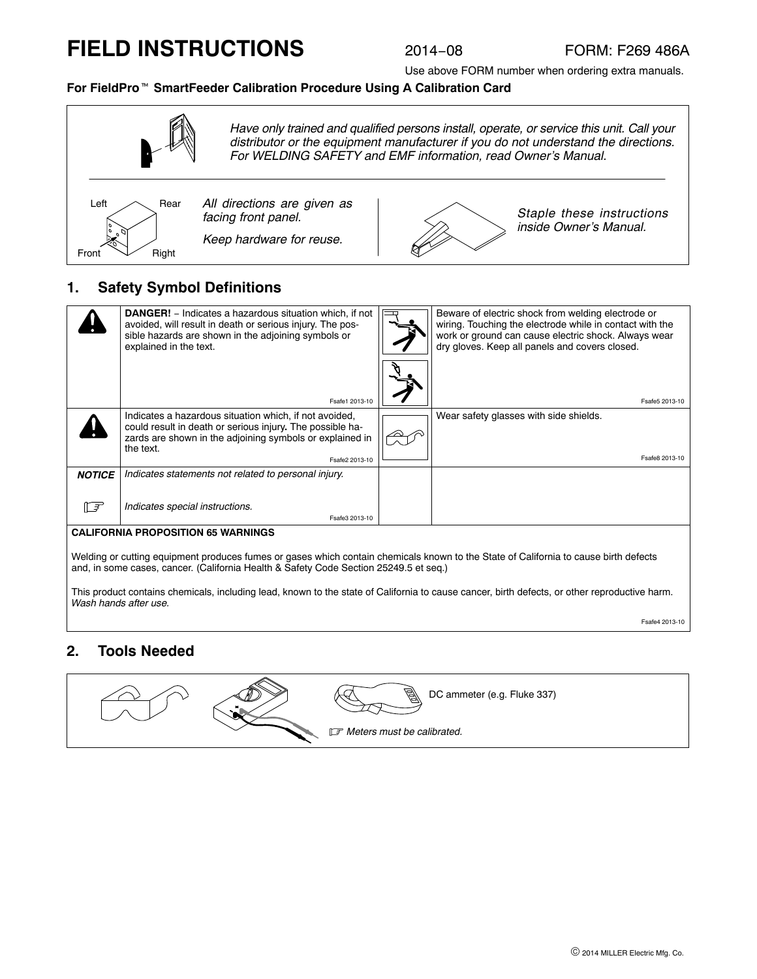# **FIELD INSTRUCTIONS**

Use above FORM number when ordering extra manuals.

# **For FieldPro**- **SmartFeeder Calibration Procedure Using A Calibration Card**



### **1. Safety Symbol Definitions**

|                                                                                                                                                                                   | <b>DANGER!</b> – Indicates a hazardous situation which, if not<br>avoided, will result in death or serious injury. The pos-<br>sible hazards are shown in the adjoining symbols or<br>explained in the text.   |  | Beware of electric shock from welding electrode or<br>wiring. Touching the electrode while in contact with the<br>work or ground can cause electric shock. Always wear<br>dry gloves. Keep all panels and covers closed. |
|-----------------------------------------------------------------------------------------------------------------------------------------------------------------------------------|----------------------------------------------------------------------------------------------------------------------------------------------------------------------------------------------------------------|--|--------------------------------------------------------------------------------------------------------------------------------------------------------------------------------------------------------------------------|
|                                                                                                                                                                                   | Fsafe1 2013-10                                                                                                                                                                                                 |  | Fsafe5 2013-10                                                                                                                                                                                                           |
|                                                                                                                                                                                   | Indicates a hazardous situation which, if not avoided,<br>could result in death or serious injury. The possible ha-<br>zards are shown in the adjoining symbols or explained in<br>the text.<br>Fsafe2 2013-10 |  | Wear safety glasses with side shields.<br>Fsafe8 2013-10                                                                                                                                                                 |
| <b>NOTICE</b>                                                                                                                                                                     | Indicates statements not related to personal injury.                                                                                                                                                           |  |                                                                                                                                                                                                                          |
| ⊩≠                                                                                                                                                                                | Indicates special instructions.<br>Fsafe3 2013-10                                                                                                                                                              |  |                                                                                                                                                                                                                          |
| <b>CALIFORNIA PROPOSITION 65 WARNINGS</b><br>Welding or cutting equipment produces fumes or gases which contain chemicals known to the State of California to cause birth defects |                                                                                                                                                                                                                |  |                                                                                                                                                                                                                          |

Welding or cutting equipment produces fumes or gases which contain chemicals known to the State of California to cause birth defects and, in some cases, cancer. (California Health & Safety Code Section 25249.5 et seq.)

This product contains chemicals, including lead, known to the state of California to cause cancer, birth defects, or other reproductive harm. *Wash hands after use.*

Fsafe4 2013-10

#### **2. Tools Needed**